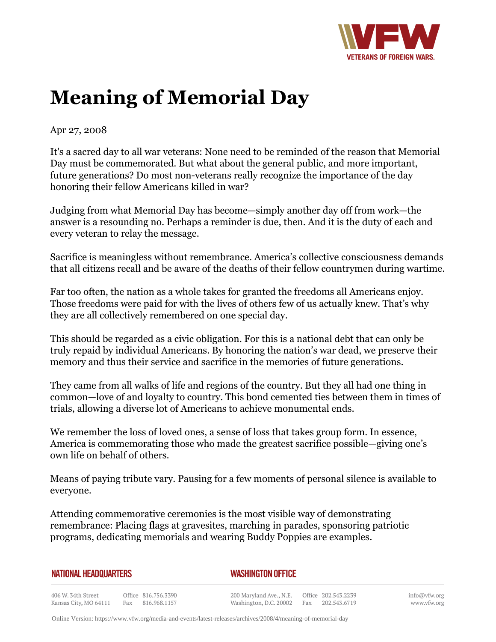

## **Meaning of Memorial Day**

Apr 27, 2008

It's a sacred day to all war veterans: None need to be reminded of the reason that Memorial Day must be commemorated. But what about the general public, and more important, future generations? Do most non-veterans really recognize the importance of the day honoring their fellow Americans killed in war?

Judging from what Memorial Day has become—simply another day off from work—the answer is a resounding no. Perhaps a reminder is due, then. And it is the duty of each and every veteran to relay the message.

Sacrifice is meaningless without remembrance. America's collective consciousness demands that all citizens recall and be aware of the deaths of their fellow countrymen during wartime.

Far too often, the nation as a whole takes for granted the freedoms all Americans enjoy. Those freedoms were paid for with the lives of others few of us actually knew. That's why they are all collectively remembered on one special day.

This should be regarded as a civic obligation. For this is a national debt that can only be truly repaid by individual Americans. By honoring the nation's war dead, we preserve their memory and thus their service and sacrifice in the memories of future generations.

They came from all walks of life and regions of the country. But they all had one thing in common—love of and loyalty to country. This bond cemented ties between them in times of trials, allowing a diverse lot of Americans to achieve monumental ends.

We remember the loss of loved ones, a sense of loss that takes group form. In essence, America is commemorating those who made the greatest sacrifice possible—giving one's own life on behalf of others.

Means of paying tribute vary. Pausing for a few moments of personal silence is available to everyone.

Attending commemorative ceremonies is the most visible way of demonstrating remembrance: Placing flags at gravesites, marching in parades, sponsoring patriotic programs, dedicating memorials and wearing Buddy Poppies are examples.

| <b>NATIONAL HEADQUARTERS</b> |  |
|------------------------------|--|
|------------------------------|--|

## *WASHINGTON OFFICE*

406 W. 34th Street Office 816.756.3390 Kansas City, MO 64111 Fax 816.968.1157

200 Maryland Ave., N.E. Washington, D.C. 20002

Office 202.543.2239 Fax 202.543.6719